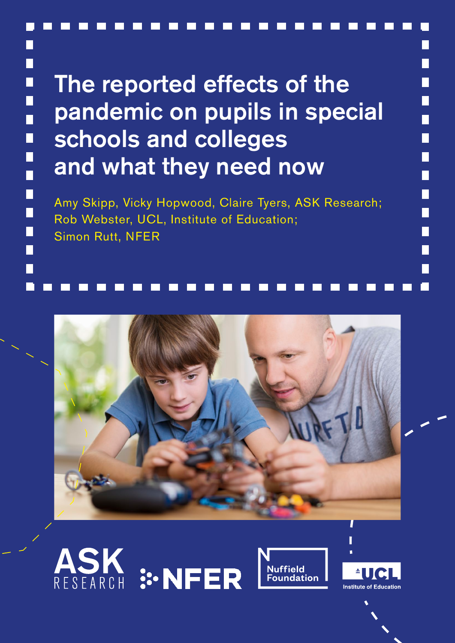# The reported effects of the pandemic on pupils in special schools and colleges and what they need now

П

П

 $\Box$ 

ň

 $\Box$ 

I

 $\Box$ 

 $\blacksquare$ 

 $\Box$ 

П

Amy Skipp, Vicky Hopwood, Claire Tyers, ASK Research; Rob Webster, UCL, Institute of Education; Simon Rutt, NFER









П

П

П

П

П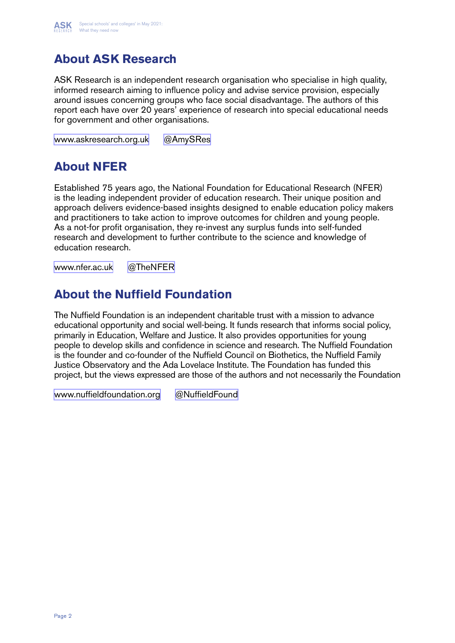

## **About ASK Research**

ASK Research is an independent research organisation who specialise in high quality, informed research aiming to influence policy and advise service provision, especially around issues concerning groups who face social disadvantage. The authors of this report each have over 20 years' experience of research into special educational needs for government and other organisations.

[www.askresearch.org.uk](http://www.askresearch.org.uk) [@AmySRes](https://twitter.com/AmySRes)

## **About NFER**

Established 75 years ago, the National Foundation for Educational Research (NFER) is the leading independent provider of education research. Their unique position and approach delivers evidence-based insights designed to enable education policy makers and practitioners to take action to improve outcomes for children and young people. As a not-for profit organisation, they re-invest any surplus funds into self-funded research and development to further contribute to the science and knowledge of education research.

[www.nfer.ac.uk](https://www.nfer.ac.uk) [@TheNFER](https://twitter.com/TheNFER)

## **About the Nuffield Foundation**

The Nuffield Foundation is an independent charitable trust with a mission to advance educational opportunity and social well-being. It funds research that informs social policy, primarily in Education, Welfare and Justice. It also provides opportunities for young people to develop skills and confidence in science and research. The Nuffield Foundation is the founder and co-founder of the Nuffield Council on Biothetics, the Nuffield Family Justice Observatory and the Ada Lovelace Institute. The Foundation has funded this project, but the views expressed are those of the authors and not necessarily the Foundation

[www.nuffieldfoundation.org](https://www.nuffieldfoundation.org) [@NuffieldFound](https://twitter.com/NuffieldFound)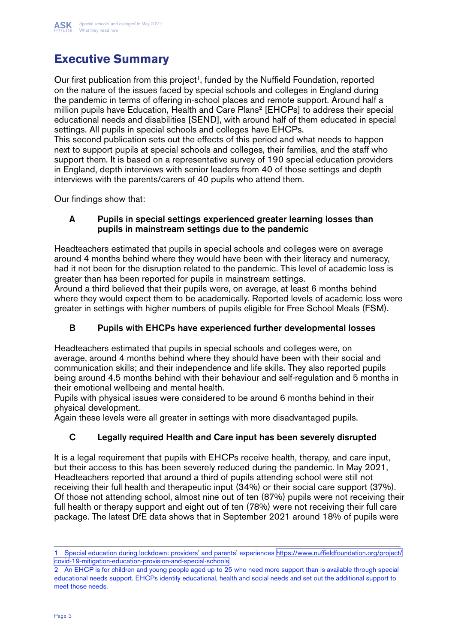## **Executive Summary**

Our first publication from this project<sup>1</sup>, funded by the Nuffield Foundation, reported on the nature of the issues faced by special schools and colleges in England during the pandemic in terms of offering in-school places and remote support. Around half a million pupils have Education, Health and Care Plans<sup>2</sup> [EHCPs] to address their special educational needs and disabilities [SEND], with around half of them educated in special settings. All pupils in special schools and colleges have EHCPs.

This second publication sets out the effects of this period and what needs to happen next to support pupils at special schools and colleges, their families, and the staff who support them. It is based on a representative survey of 190 special education providers in England, depth interviews with senior leaders from 40 of those settings and depth interviews with the parents/carers of 40 pupils who attend them.

Our findings show that:

#### A Pupils in special settings experienced greater learning losses than pupils in mainstream settings due to the pandemic

Headteachers estimated that pupils in special schools and colleges were on average around 4 months behind where they would have been with their literacy and numeracy, had it not been for the disruption related to the pandemic. This level of academic loss is greater than has been reported for pupils in mainstream settings.

Around a third believed that their pupils were, on average, at least 6 months behind where they would expect them to be academically. Reported levels of academic loss were greater in settings with higher numbers of pupils eligible for Free School Meals (FSM).

### B Pupils with EHCPs have experienced further developmental losses

Headteachers estimated that pupils in special schools and colleges were, on average, around 4 months behind where they should have been with their social and communication skills; and their independence and life skills. They also reported pupils being around 4.5 months behind with their behaviour and self-regulation and 5 months in their emotional wellbeing and mental health.

Pupils with physical issues were considered to be around 6 months behind in their physical development.

Again these levels were all greater in settings with more disadvantaged pupils.

### C Legally required Health and Care input has been severely disrupted

It is a legal requirement that pupils with EHCPs receive health, therapy, and care input, but their access to this has been severely reduced during the pandemic. In May 2021, Headteachers reported that around a third of pupils attending school were still not receiving their full health and therapeutic input (34%) or their social care support (37%). Of those not attending school, almost nine out of ten (87%) pupils were not receiving their full health or therapy support and eight out of ten (78%) were not receiving their full care package. The latest DfE data shows that in September 2021 around 18% of pupils were

<sup>1</sup> Special education during lockdown: providers' and parents' experiences [https://www.nuffieldfoundation.org/project/](https://www.nuffieldfoundation.org/project/covid-19-mitigation-education-provision-and-special-schoo) [covid-19-mitigation-education-provision-and-special-schools](https://www.nuffieldfoundation.org/project/covid-19-mitigation-education-provision-and-special-schoo)

<sup>2</sup> An EHCP is for children and young people aged up to 25 who need more support than is available through special educational needs support. EHCPs identify educational, health and social needs and set out the additional support to meet those needs.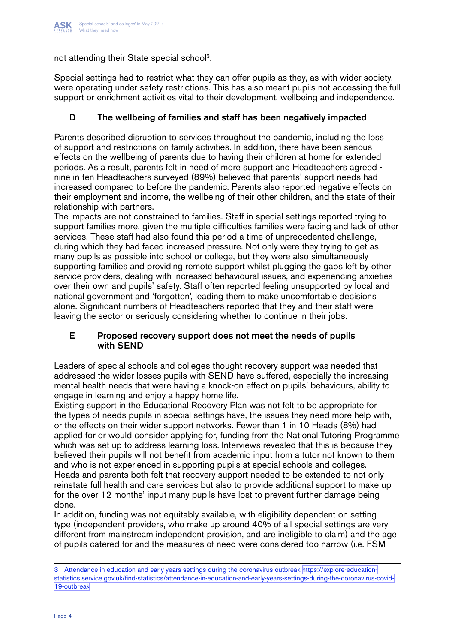

not attending their State special school<sup>3</sup>.

Special settings had to restrict what they can offer pupils as they, as with wider society, were operating under safety restrictions. This has also meant pupils not accessing the full support or enrichment activities vital to their development, wellbeing and independence.

#### D The wellbeing of families and staff has been negatively impacted

Parents described disruption to services throughout the pandemic, including the loss of support and restrictions on family activities. In addition, there have been serious effects on the wellbeing of parents due to having their children at home for extended periods. As a result, parents felt in need of more support and Headteachers agreed nine in ten Headteachers surveyed (89%) believed that parents' support needs had increased compared to before the pandemic. Parents also reported negative effects on their employment and income, the wellbeing of their other children, and the state of their relationship with partners.

The impacts are not constrained to families. Staff in special settings reported trying to support families more, given the multiple difficulties families were facing and lack of other services. These staff had also found this period a time of unprecedented challenge, during which they had faced increased pressure. Not only were they trying to get as many pupils as possible into school or college, but they were also simultaneously supporting families and providing remote support whilst plugging the gaps left by other service providers, dealing with increased behavioural issues, and experiencing anxieties over their own and pupils' safety. Staff often reported feeling unsupported by local and national government and 'forgotten', leading them to make uncomfortable decisions alone. Significant numbers of Headteachers reported that they and their staff were leaving the sector or seriously considering whether to continue in their jobs.

#### E Proposed recovery support does not meet the needs of pupils with SEND

Leaders of special schools and colleges thought recovery support was needed that addressed the wider losses pupils with SEND have suffered, especially the increasing mental health needs that were having a knock-on effect on pupils' behaviours, ability to engage in learning and enjoy a happy home life.

Existing support in the Educational Recovery Plan was not felt to be appropriate for the types of needs pupils in special settings have, the issues they need more help with, or the effects on their wider support networks. Fewer than 1 in 10 Heads (8%) had applied for or would consider applying for, funding from the National Tutoring Programme which was set up to address learning loss. Interviews revealed that this is because they believed their pupils will not benefit from academic input from a tutor not known to them and who is not experienced in supporting pupils at special schools and colleges. Heads and parents both felt that recovery support needed to be extended to not only reinstate full health and care services but also to provide additional support to make up for the over 12 months' input many pupils have lost to prevent further damage being done.

In addition, funding was not equitably available, with eligibility dependent on setting type (independent providers, who make up around 40% of all special settings are very different from mainstream independent provision, and are ineligible to claim) and the age of pupils catered for and the measures of need were considered too narrow (i.e. FSM

<sup>3</sup> Attendance in education and early years settings during the coronavirus outbreak [https://explore-education](https://explore-education-statistics.service.gov.uk/find-statistics/attendance-in-education-and-earl)[statistics.service.gov.uk/find-statistics/attendance-in-education-and-early-years-settings-during-the-coronavirus-covid-](https://explore-education-statistics.service.gov.uk/find-statistics/attendance-in-education-and-earl)[19-outbreak](https://explore-education-statistics.service.gov.uk/find-statistics/attendance-in-education-and-earl)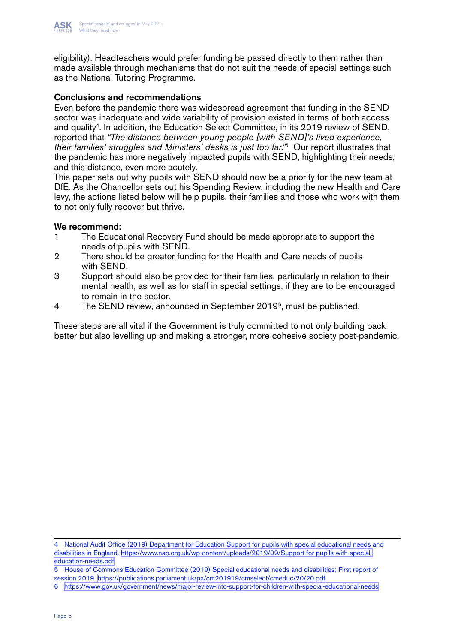

eligibility). Headteachers would prefer funding be passed directly to them rather than made available through mechanisms that do not suit the needs of special settings such as the National Tutoring Programme.

#### Conclusions and recommendations

Even before the pandemic there was widespread agreement that funding in the SEND sector was inadequate and wide variability of provision existed in terms of both access and quality<sup>4</sup>. In addition, the Education Select Committee, in its 2019 review of SEND, reported that *"The distance between young people [with SEND]'s lived experience, their families' struggles and Ministers' desks is just too far."*5 Our report illustrates that the pandemic has more negatively impacted pupils with SEND, highlighting their needs, and this distance, even more acutely.

This paper sets out why pupils with SEND should now be a priority for the new team at DfE. As the Chancellor sets out his Spending Review, including the new Health and Care levy, the actions listed below will help pupils, their families and those who work with them to not only fully recover but thrive.

#### We recommend:

- 1 The Educational Recovery Fund should be made appropriate to support the needs of pupils with SEND.
- 2 There should be greater funding for the Health and Care needs of pupils with SEND.
- 3 Support should also be provided for their families, particularly in relation to their mental health, as well as for staff in special settings, if they are to be encouraged to remain in the sector.
- 4 The SEND review, announced in September  $2019^6$ , must be published.

These steps are all vital if the Government is truly committed to not only building back better but also levelling up and making a stronger, more cohesive society post-pandemic.

4 National Audit Office (2019) Department for Education Support for pupils with special educational needs and disabilities in England. [https://www.nao.org.uk/wp-content/uploads/2019/09/Support-for-pupils-with-special](https://www.nao.org.uk/wp-content/uploads/2019/09/Support-for-pupils-with-special-education-needs.pd)[education-needs.pdf](https://www.nao.org.uk/wp-content/uploads/2019/09/Support-for-pupils-with-special-education-needs.pd)

5 House of Commons Education Committee (2019) Special educational needs and disabilities: First report of session 2019. <https://publications.parliament.uk/pa/cm201919/cmselect/cmeduc/20/20.pdf>

<sup>6</sup> [https://www.gov.uk/government/news/major-review-into-support-for-children-with-special-educational-needs](https://www.gov.uk/government/news/major-review-into-support-for-children-with-special-educational-n)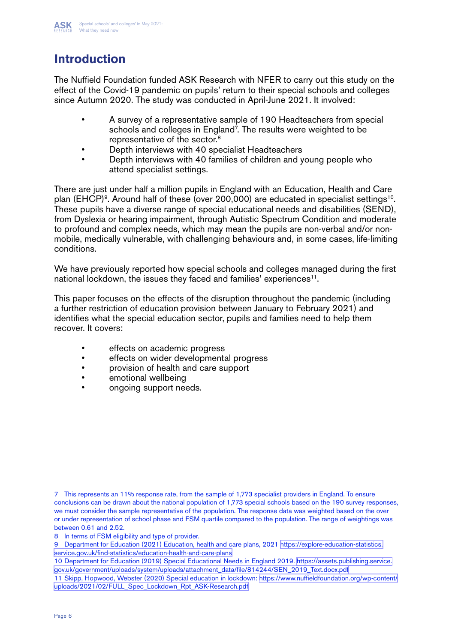

## **Introduction**

The Nuffield Foundation funded ASK Research with NFER to carry out this study on the effect of the Covid-19 pandemic on pupils' return to their special schools and colleges since Autumn 2020. The study was conducted in April-June 2021. It involved:

- A survey of a representative sample of 190 Headteachers from special schools and colleges in England<sup>7</sup>. The results were weighted to be representative of the sector.<sup>8</sup>
- Depth interviews with 40 specialist Headteachers
- Depth interviews with 40 families of children and young people who attend specialist settings.

There are just under half a million pupils in England with an Education, Health and Care plan (EHCP)<sup>9</sup>. Around half of these (over 200,000) are educated in specialist settings<sup>10</sup>. These pupils have a diverse range of special educational needs and disabilities (SEND), from Dyslexia or hearing impairment, through Autistic Spectrum Condition and moderate to profound and complex needs, which may mean the pupils are non-verbal and/or nonmobile, medically vulnerable, with challenging behaviours and, in some cases, life-limiting conditions.

We have previously reported how special schools and colleges managed during the first national lockdown, the issues they faced and families' experiences<sup>11</sup>.

This paper focuses on the effects of the disruption throughout the pandemic (including a further restriction of education provision between January to February 2021) and identifies what the special education sector, pupils and families need to help them recover. It covers:

- effects on academic progress
- effects on wider developmental progress
- provision of health and care support
- emotional wellbeing
- ongoing support needs.

<sup>7</sup> This represents an 11% response rate, from the sample of 1,773 specialist providers in England. To ensure conclusions can be drawn about the national population of 1,773 special schools based on the 190 survey responses, we must consider the sample representative of the population. The response data was weighted based on the over or under representation of school phase and FSM quartile compared to the population. The range of weightings was between 0.61 and 2.52.

<sup>8</sup> In terms of FSM eligibility and type of provider.

<sup>9</sup> Department for Education (2021) Education, health and care plans, 2021 [https://explore-education-statistics.](https://explore-education-statistics.service.gov.uk/find-statistics/education-health-and-care-plans) [service.gov.uk/find-statistics/education-health-and-care-plans](https://explore-education-statistics.service.gov.uk/find-statistics/education-health-and-care-plans)

<sup>10</sup> Department for Education (2019) Special Educational Needs in England 2019. [https://assets.publishing.service.](https://assets.publishing.service.gov.uk/government/uploads/system/uploads/attachment_data/file/8142) [gov.uk/government/uploads/system/uploads/attachment\\_data/file/814244/SEN\\_2019\\_Text.docx.pdf](https://assets.publishing.service.gov.uk/government/uploads/system/uploads/attachment_data/file/8142)

<sup>11</sup> Skipp, Hopwood, Webster (2020) Special education in lockdown: [https://www.nuffieldfoundation.org/wp-content/](https://www.nuffieldfoundation.org/wp-content/uploads/2021/02/FULL_Spec_Lockdown_Rpt_ASK-Research.pd) [uploads/2021/02/FULL\\_Spec\\_Lockdown\\_Rpt\\_ASK-Research.pdf](https://www.nuffieldfoundation.org/wp-content/uploads/2021/02/FULL_Spec_Lockdown_Rpt_ASK-Research.pd)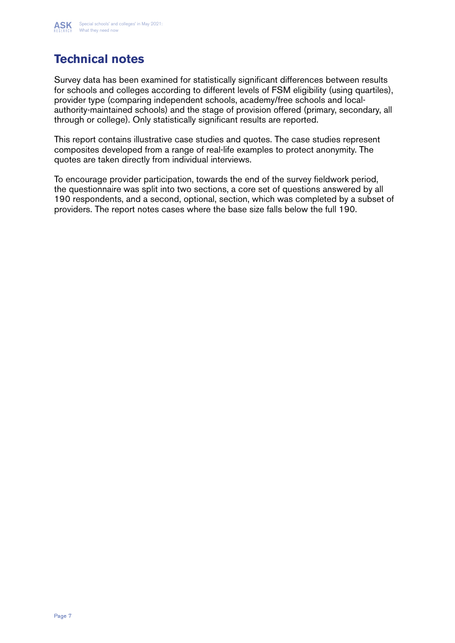

## **Technical notes**

Survey data has been examined for statistically significant differences between results for schools and colleges according to different levels of FSM eligibility (using quartiles), provider type (comparing independent schools, academy/free schools and localauthority-maintained schools) and the stage of provision offered (primary, secondary, all through or college). Only statistically significant results are reported.

This report contains illustrative case studies and quotes. The case studies represent composites developed from a range of real-life examples to protect anonymity. The quotes are taken directly from individual interviews.

To encourage provider participation, towards the end of the survey fieldwork period, the questionnaire was split into two sections, a core set of questions answered by all 190 respondents, and a second, optional, section, which was completed by a subset of providers. The report notes cases where the base size falls below the full 190.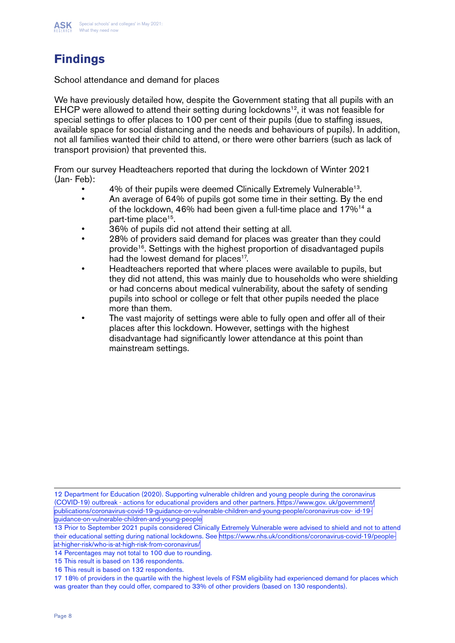

## **Findings**

School attendance and demand for places

We have previously detailed how, despite the Government stating that all pupils with an EHCP were allowed to attend their setting during lockdowns<sup>12</sup>, it was not feasible for special settings to offer places to 100 per cent of their pupils (due to staffing issues, available space for social distancing and the needs and behaviours of pupils). In addition, not all families wanted their child to attend, or there were other barriers (such as lack of transport provision) that prevented this.

From our survey Headteachers reported that during the lockdown of Winter 2021 (Jan- Feb):

- 4% of their pupils were deemed Clinically Extremely Vulnerable<sup>13</sup>.
- An average of 64% of pupils got some time in their setting. By the end of the lockdown, 46% had been given a full-time place and 17%14 a part-time place<sup>15</sup>.
- 36% of pupils did not attend their setting at all.
- 28% of providers said demand for places was greater than they could provide<sup>16</sup>. Settings with the highest proportion of disadvantaged pupils had the lowest demand for places<sup>17</sup>.
- Headteachers reported that where places were available to pupils, but they did not attend, this was mainly due to households who were shielding or had concerns about medical vulnerability, about the safety of sending pupils into school or college or felt that other pupils needed the place more than them.
- The vast majority of settings were able to fully open and offer all of their places after this lockdown. However, settings with the highest disadvantage had significantly lower attendance at this point than mainstream settings.

12 Department for Education (2020). Supporting vulnerable children and young people during the coronavirus (COVID-19) outbreak - actions for educational providers and other partners. [https://www.gov. uk/government/](https://www.gov. uk/government/publications/coronavirus-covid-19-guidance-on-vulnerable-children-and) [publications/coronavirus-covid-19-guidance-on-vulnerable-children-and-young-people/coronavirus-cov- id-19](https://www.gov. uk/government/publications/coronavirus-covid-19-guidance-on-vulnerable-children-and) [guidance-on-vulnerable-children-and-young-people](https://www.gov. uk/government/publications/coronavirus-covid-19-guidance-on-vulnerable-children-and)

17 18% of providers in the quartile with the highest levels of FSM eligibility had experienced demand for places which was greater than they could offer, compared to 33% of other providers (based on 130 respondents).

<sup>13</sup> Prior to September 2021 pupils considered Clinically Extremely Vulnerable were advised to shield and not to attend their educational setting during national lockdowns. See [https://www.nhs.uk/conditions/coronavirus-covid-19/people](https://www.nhs.uk/conditions/coronavirus-covid-19/people-at-higher-risk/who-is-at-high-risk-from-co)[at-higher-risk/who-is-at-high-risk-from-coronavirus/](https://www.nhs.uk/conditions/coronavirus-covid-19/people-at-higher-risk/who-is-at-high-risk-from-co)

<sup>14</sup> Percentages may not total to 100 due to rounding.

<sup>15</sup> This result is based on 136 respondents.

<sup>16</sup> This result is based on 132 respondents.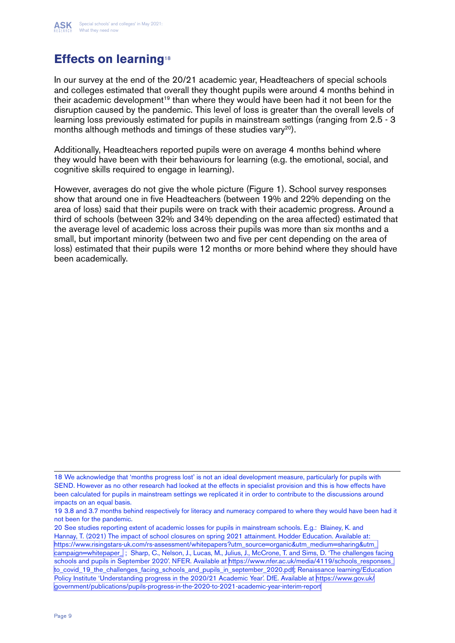

## **Effects on learning**<sup>18</sup>

In our survey at the end of the 20/21 academic year, Headteachers of special schools and colleges estimated that overall they thought pupils were around 4 months behind in their academic development<sup>19</sup> than where they would have been had it not been for the disruption caused by the pandemic. This level of loss is greater than the overall levels of learning loss previously estimated for pupils in mainstream settings (ranging from 2.5 - 3 months although methods and timings of these studies vary<sup>20</sup>).

Additionally, Headteachers reported pupils were on average 4 months behind where they would have been with their behaviours for learning (e.g. the emotional, social, and cognitive skills required to engage in learning).

However, averages do not give the whole picture (Figure 1). School survey responses show that around one in five Headteachers (between 19% and 22% depending on the area of loss) said that their pupils were on track with their academic progress. Around a third of schools (between 32% and 34% depending on the area affected) estimated that the average level of academic loss across their pupils was more than six months and a small, but important minority (between two and five per cent depending on the area of loss) estimated that their pupils were 12 months or more behind where they should have been academically.

<sup>18</sup> We acknowledge that 'months progress lost' is not an ideal development measure, particularly for pupils with SEND. However as no other research had looked at the effects in specialist provision and this is how effects have been calculated for pupils in mainstream settings we replicated it in order to contribute to the discussions around impacts on an equal basis.

<sup>19 3.8</sup> and 3.7 months behind respectively for literacy and numeracy compared to where they would have been had it not been for the pandemic.

<sup>20</sup> See studies reporting extent of academic losses for pupils in mainstream schools. E.g.: Blainey, K. and Hannay, T. (2021) The impact of school closures on spring 2021 attainment. Hodder Education. Available at: https://www.risingstars-uk.com/rs-assessment/whitepapers?utm\_source=organic&utm\_medium=sharing&utm [campaign=whitepaper\\_](https://www.risingstars-uk.com/rs-assessment/whitepapers?utm_source=organic&utm_medium=sharing&utm_c) ; Sharp, C., Nelson, J., Lucas, M., Julius, J., McCrone, T. and Sims, D. 'The challenges facing schools and pupils in September 2020'. NFER. Available at [https://www.nfer.ac.uk/media/4119/schools\\_responses\\_](https://www.nfer.ac.uk/media/4119/schools_responses_to_covid_19_the_challenges_facing_schools_and_pu) [to\\_covid\\_19\\_the\\_challenges\\_facing\\_schools\\_and\\_pupils\\_in\\_september\\_2020.pdf;](https://www.nfer.ac.uk/media/4119/schools_responses_to_covid_19_the_challenges_facing_schools_and_pu) Renaissance learning/Education Policy Institute 'Understanding progress in the 2020/21 Academic Year'. DfE. Available at [https://www.gov.uk/](https://www.gov.uk/government/publications/pupils-progress-in-the-2020-to-2021-academic-year-interim) [government/publications/pupils-progress-in-the-2020-to-2021-academic-year-interim-report](https://www.gov.uk/government/publications/pupils-progress-in-the-2020-to-2021-academic-year-interim)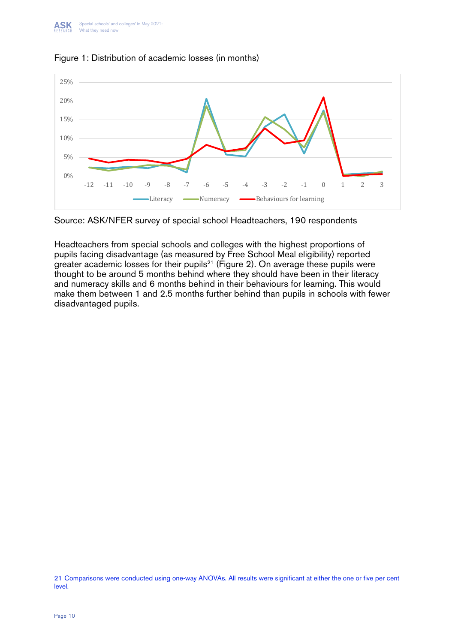

#### Figure 1: Distribution of academic losses (in months) **Figure 1: Distribution of academic losses (in months)**

Source: ASK/NFER survey of special school Headteachers, 190 respondents Source: ASK/NFER survey of special school Headteachers, 190 respondents

Headteachers from special schools and colleges with the highest proportions of pupils racing disadvantage (as measured by Free School Mear eligibility) reported<br>greater academic losses for their pupils<sup>21</sup> (Figure 2). On average these pupils were thought to be around 5 months behind where they should have been in their literacy numeracy skills and 6 months behind in their behaviours for learning. This would and numeracy skills and 6 months behind in their behaviours for learning. This would make them between 1 and 2.5 months further behind than pupils in schools with fewer disadvantaged pupils. pupils facing disadvantage (as measured by Free School Meal eligibility) reported

<sup>21</sup> Comparisons were conducted using one-way ANOVAs. All results were significant at either the one or five per cent level.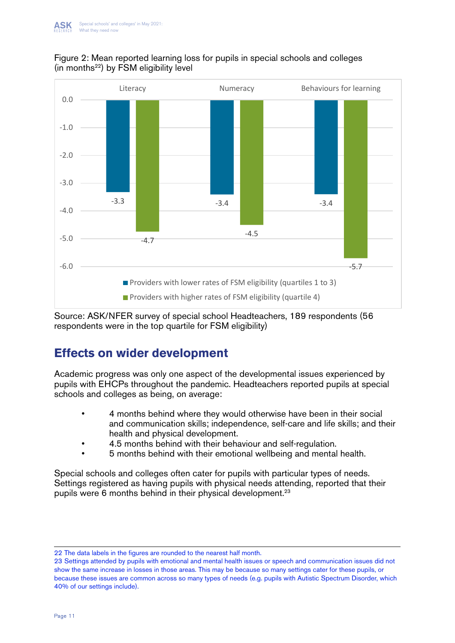



Source: ASK/NFER survey of special school Headteachers, 189 respondents (56 Source: ASK/NFER survey of special school Headteachers, 189 respondents (56 respondents were in the top quartile for FSM eligibility) respondents were in the top quartile for FSM eligibility)

## **Effects on wider development Effects on wider development**

Academic progress was only one aspect of the developmental issues experienced by Academic progress was only one aspect of the developmental issues experienced by pupils with EHCPs throughout the pandemic. Headteachers reported pupils at special pupils with EHCPs throughout the pandemic. Headteachers reported pupils at special schools and colleges as being, on average: schools and colleges as being, on average:

- and communication skills; independence, self-care and life skills; and their health and physical development. Their health and physical development. • 4 months behind where they would otherwise have been in their social
	- 4.5 months behind with their behaviour and self-regulation.
- 5 months behind with their emotional wellbeing and mental health.

Special schools and colleges often cater for pupils with particular types of needs. pupils were 6 months behind in their physical development.<sup>23</sup> Settings registered as having pupils with physical needs attending, reported that their

22 The data labels in the figures are rounded to the nearest half month.

show the same increase in losses in those areas. This may be because so many settings cater for these pupils, or 23 Settings attended by pupils with emotional and mental health issues or speech and communication issues did not because these issues are common across so many types of needs (e.g. pupils with Autistic Spectrum Disorder, which 40% of our settings include).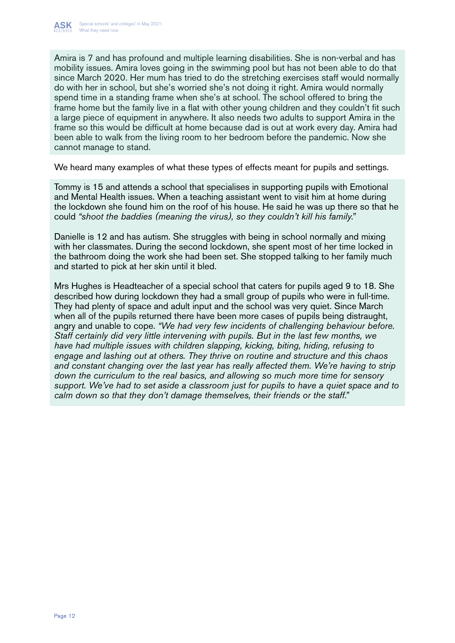

Amira is 7 and has profound and multiple learning disabilities. She is non-verbal and has mobility issues. Amira loves going in the swimming pool but has not been able to do that since March 2020. Her mum has tried to do the stretching exercises staff would normally do with her in school, but she's worried she's not doing it right. Amira would normally spend time in a standing frame when she's at school. The school offered to bring the frame home but the family live in a flat with other young children and they couldn't fit such a large piece of equipment in anywhere. It also needs two adults to support Amira in the frame so this would be difficult at home because dad is out at work every day. Amira had been able to walk from the living room to her bedroom before the pandemic. Now she cannot manage to stand.

We heard many examples of what these types of effects meant for pupils and settings.

Tommy is 15 and attends a school that specialises in supporting pupils with Emotional and Mental Health issues. When a teaching assistant went to visit him at home during the lockdown she found him on the roof of his house. He said he was up there so that he could *"shoot the baddies (meaning the virus), so they couldn't kill his family."*

Danielle is 12 and has autism. She struggles with being in school normally and mixing with her classmates. During the second lockdown, she spent most of her time locked in the bathroom doing the work she had been set. She stopped talking to her family much and started to pick at her skin until it bled.

Mrs Hughes is Headteacher of a special school that caters for pupils aged 9 to 18. She described how during lockdown they had a small group of pupils who were in full-time. They had plenty of space and adult input and the school was very quiet. Since March when all of the pupils returned there have been more cases of pupils being distraught, angry and unable to cope. *"We had very few incidents of challenging behaviour before. Staff certainly did very little intervening with pupils. But in the last few months, we have had multiple issues with children slapping, kicking, biting, hiding, refusing to engage and lashing out at others. They thrive on routine and structure and this chaos and constant changing over the last year has really affected them. We're having to strip down the curriculum to the real basics, and allowing so much more time for sensory support. We've had to set aside a classroom just for pupils to have a quiet space and to calm down so that they don't damage themselves, their friends or the staff."*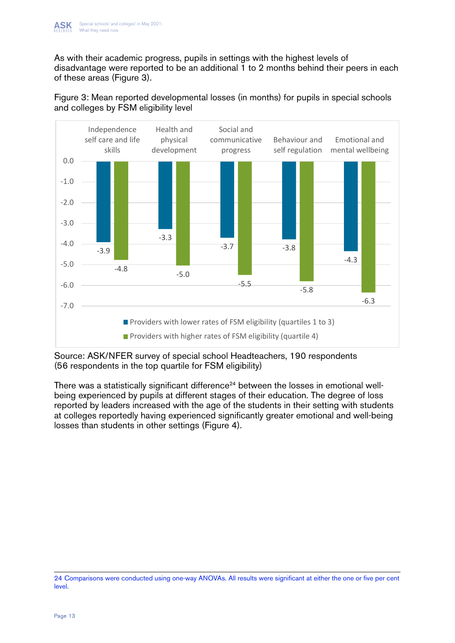As with their academic progress, pupils in settings with the highest levels of As with their academic progress, pupils in settings with the highest levels of disadvantage were reported to be an additional 1 to 2 months behind their peers in each of these areas (Figure 3).



Figure 3: Mean reported developmental losses (in months) for pupils in special schools **Figure 3: Mean reported developmental losses (in months) for pupils in special**  and colleges by FSM eligibility level **schools and colleges by FSM eligibility level**

(56 respondents in the top quartile for FSM eligibility) Source: ASK/NFER survey of special school Headteachers, 190 respondents

There was a statistically significant difference<sup>24</sup> between the losses in emotional wellbeing experienced by pupils at different stages of their education. The degree of loss<br>represented by loadars in expected with the case of the students in their estimate with students. being experienced by pupils at different stages of their education. The degree of loss at colleges reportedly having experienced significantly greater emotional and well-being losses than students in other settings (Figure 4). reported by leaders increased with the age of the students in their setting with students

<sup>24</sup> Comparisons were conducted using one-way ANOVAs. All results were significant at either the one or five per cent level.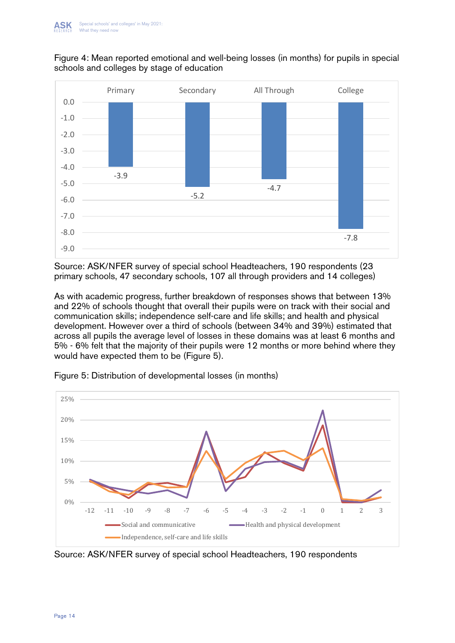



primary schools, 47 secondary schools, 107 all through providers and 14 colleges) Source: ASK/NFER survey of special school Headteachers, 190 respondents (23

schools, 47 secondary schools, 107 all through providers and 14 colleges) communication skills; independence self-care and life skills; and health and physical development. However over a third of schools (between 34% and 39%) estimated that<br>example all numitable systems layel of locates in these demoins was at least 6 months and 5% - 6% felt that the majority of their pupils were 12 months or more behind where they would have expected them to be (Figure 5). As with academic progress, further breakdown of responses shows that between 13% and 22% of schools thought that overall their pupils were on track with their social and across all pupils the average level of losses in these domains was at least 6 months and



Figure 5: Distribution of developmental losses (in months)

Source: ASK/NFER survey of special school Headteachers, 190 respondents Source: ASK/NFER survey of special school Headteachers, 190 respondents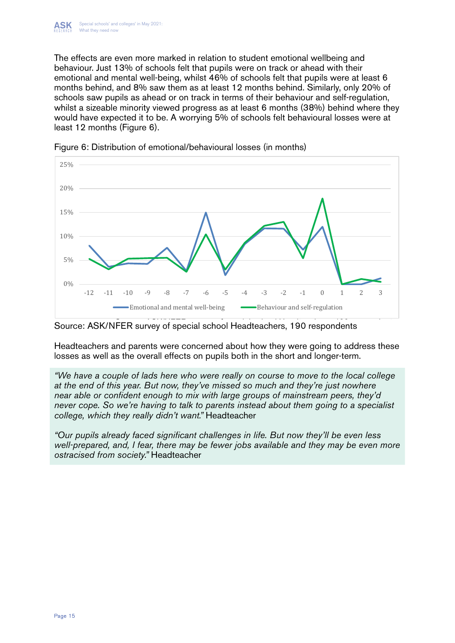The effects are even more marked in relation to student emotional wellbeing and behaviour. Just 13% of schools felt that pupils were on track or ahead with their emotional and mental well-being, whilst 46% of schools felt that pupils were at least 6<br>constitutional and self-0% constitution and least 10 mention behind. Circle the self-00% of months behind, and 8% saw them as at least 12 months behind. Similarly, only 20% of schools saw pupils as ahead or on track in terms of their behaviour and self-regulation, whilst a sizeable minority viewed progress as at least 6 months (38%) behind where they would have expected it to be. A worrying 5% of schools felt behavioural losses were at least 12 months (Figure 6).





Source: ASK/NFER survey of special school Headteachers, 190 respondents Source: ASK/NFER survey of special school Headteachers, 190 respondents

Headteachers and parents were concerned about how they were going to address Headteachers and parents were concerned about how they were going to address these losses as well as the overall effects on pupils both in the short and longer-term.

at the end of this year. But now, they've missed so much and they're just nowhere near able or confident enough to mix with large groups of mainstream peers, they'd never cope. So we're having to talk to parents instead about them going to a specialist college, which they really didn't want." Headteacher *"We have a couple of lads here who were really on course to move to the local college* 

"Our pupils already faced significant challenges in life. But now they'll be even less ostracised from society." Headteacher **but now they'll be even less in life.** But now they'll be even less they'll be even less they'll be even less they'll be even less they'll be even less they'll be even less they'll be *well-prepared, and, I fear, there may be fewer jobs available and they may be even more*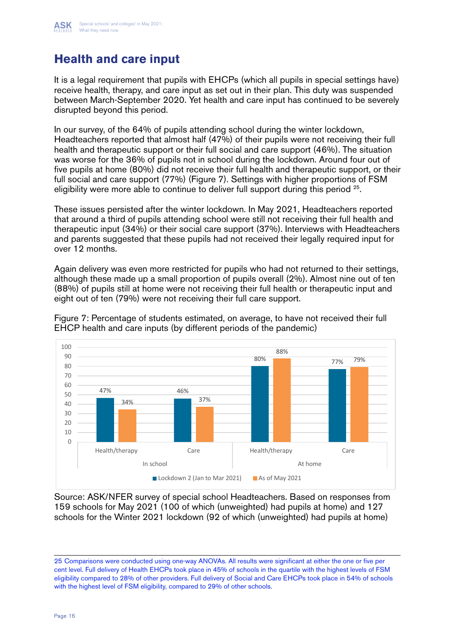

## **Health and care input**

It is a legal requirement that pupils with EHCPs (which all pupils in special settings have) receive health, therapy, and care input as set out in their plan. This duty was suspended between March-September 2020. Yet health and care input has continued to be severely disrupted beyond this period.

In our survey, of the 64% of pupils attending school during the winter lockdown, Headteachers reported that almost half (47%) of their pupils were not receiving their full health and therapeutic support or their full social and care support (46%). The situation was worse for the 36% of pupils not in school during the lockdown. Around four out of five pupils at home (80%) did not receive their full health and therapeutic support, or their full social and care support (77%) (Figure 7). Settings with higher proportions of FSM eligibility were more able to continue to deliver full support during this period <sup>25</sup>.

These issues persisted after the winter lockdown. In May 2021, Headteachers reported that around a third of pupils attending school were still not receiving their full health and therapeutic input (34%) or their social care support (37%). Interviews with Headteachers and parents suggested that these pupils had not received their legally required input for over 12 months.

Again delivery was even more restricted for pupils who had not returned to their settings, although these made up a small proportion of pupils overall (2%). Almost nine out of ten (88%) of pupils still at home were not receiving their full health or therapeutic input and eight out of ten (79%) were not receiving their full care support.



Figure 7: Percentage of students estimated, on average, to have not received their full Figure 7: Percentage of students estimated, on average, to have not received their run.<br>EHCP health and care inputs (by different periods of the pandemic) **their full EHCP health and care inputs (by different periods of the pandemic)**

Source: ASK/NFER survey of special school Headteachers. Based on responses from 159 schools for May 2021 (100 of which (unweighted) had pupils at home) and 127 schools for the Winter 2021 lockdown (92 of which (unweighted) had pupils at home)

also families being unsupported while their children's needs increased, leading to

<sup>25</sup> Comparisons were conducted using one-way ANOVAs. All results were significant at either the one or five per with the highest level of FSM eligibility, compared to 29% of other schools. cent level. Full delivery of Health EHCPs took place in 45% of schools in the quartile with the highest levels of FSM eligibility compared to 28% of other providers. Full delivery of Social and Care EHCPs took place in 54% of schools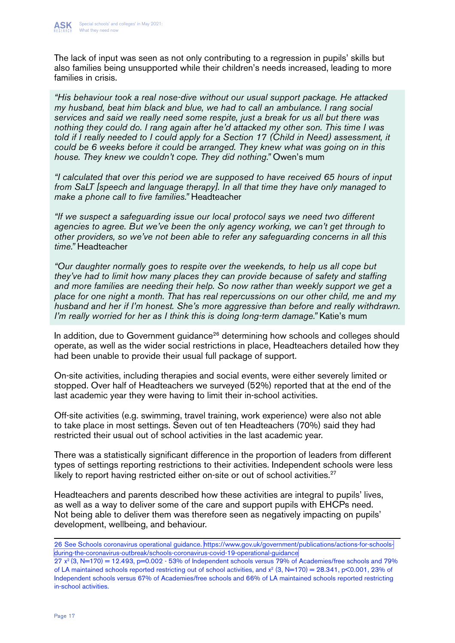

The lack of input was seen as not only contributing to a regression in pupils' skills but also families being unsupported while their children's needs increased, leading to more families in crisis.

*"His behaviour took a real nose-dive without our usual support package. He attacked my husband, beat him black and blue, we had to call an ambulance. I rang social services and said we really need some respite, just a break for us all but there was nothing they could do. I rang again after he'd attacked my other son. This time I was told if I really needed to I could apply for a Section 17 (Child in Need) assessment, it could be 6 weeks before it could be arranged. They knew what was going on in this house. They knew we couldn't cope. They did nothing."* Owen's mum

*"I calculated that over this period we are supposed to have received 65 hours of input from SaLT [speech and language therapy]. In all that time they have only managed to make a phone call to five families."* Headteacher

*"If we suspect a safeguarding issue our local protocol says we need two different agencies to agree. But we've been the only agency working, we can't get through to other providers, so we've not been able to refer any safeguarding concerns in all this time."* Headteacher

*"Our daughter normally goes to respite over the weekends, to help us all cope but they've had to limit how many places they can provide because of safety and staffing and more families are needing their help. So now rather than weekly support we get a place for one night a month. That has real repercussions on our other child, me and my husband and her if I'm honest. She's more aggressive than before and really withdrawn. I'm really worried for her as I think this is doing long-term damage."* Katie's mum

In addition, due to Government guidance<sup>26</sup> determining how schools and colleges should operate, as well as the wider social restrictions in place, Headteachers detailed how they had been unable to provide their usual full package of support.

On-site activities, including therapies and social events, were either severely limited or stopped. Over half of Headteachers we surveyed (52%) reported that at the end of the last academic year they were having to limit their in-school activities.

Off-site activities (e.g. swimming, travel training, work experience) were also not able to take place in most settings. Seven out of ten Headteachers (70%) said they had restricted their usual out of school activities in the last academic year.

There was a statistically significant difference in the proportion of leaders from different types of settings reporting restrictions to their activities. Independent schools were less likely to report having restricted either on-site or out of school activities.<sup>27</sup>

Headteachers and parents described how these activities are integral to pupils' lives, as well as a way to deliver some of the care and support pupils with EHCPs need. Not being able to deliver them was therefore seen as negatively impacting on pupils' development, wellbeing, and behaviour.

<sup>26</sup> See Schools coronavirus operational guidance. [https://www.gov.uk/government/publications/actions-for-schools](https://www.gov.uk/government/publications/actions-for-schools-during-the-coronavirus-outbreak/schoo)[during-the-coronavirus-outbreak/schools-coronavirus-covid-19-operational-guidance](https://www.gov.uk/government/publications/actions-for-schools-during-the-coronavirus-outbreak/schoo) 

 $27 \times (3, N=170) = 12.493$ ,  $p=0.002 - 53\%$  of Independent schools versus 79% of Academies/free schools and 79% of LA maintained schools reported restricting out of school activities, and  $x^2$  (3, N=170) = 28.341, p<0.001, 23% of Independent schools versus 67% of Academies/free schools and 66% of LA maintained schools reported restricting in-school activities.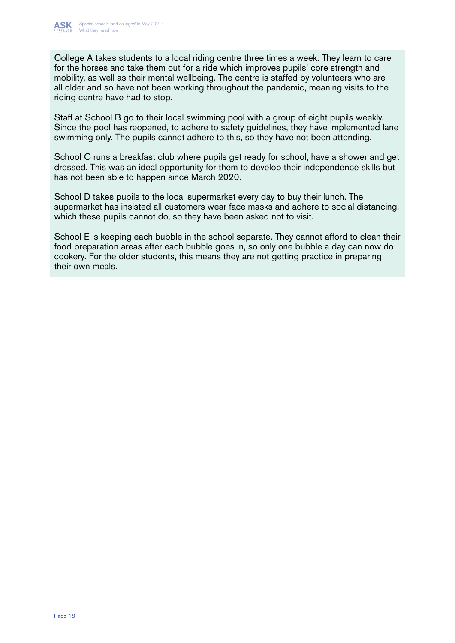

College A takes students to a local riding centre three times a week. They learn to care for the horses and take them out for a ride which improves pupils' core strength and mobility, as well as their mental wellbeing. The centre is staffed by volunteers who are all older and so have not been working throughout the pandemic, meaning visits to the riding centre have had to stop.

Staff at School B go to their local swimming pool with a group of eight pupils weekly. Since the pool has reopened, to adhere to safety guidelines, they have implemented lane swimming only. The pupils cannot adhere to this, so they have not been attending.

School C runs a breakfast club where pupils get ready for school, have a shower and get dressed. This was an ideal opportunity for them to develop their independence skills but has not been able to happen since March 2020.

School D takes pupils to the local supermarket every day to buy their lunch. The supermarket has insisted all customers wear face masks and adhere to social distancing, which these pupils cannot do, so they have been asked not to visit.

School E is keeping each bubble in the school separate. They cannot afford to clean their food preparation areas after each bubble goes in, so only one bubble a day can now do cookery. For the older students, this means they are not getting practice in preparing their own meals.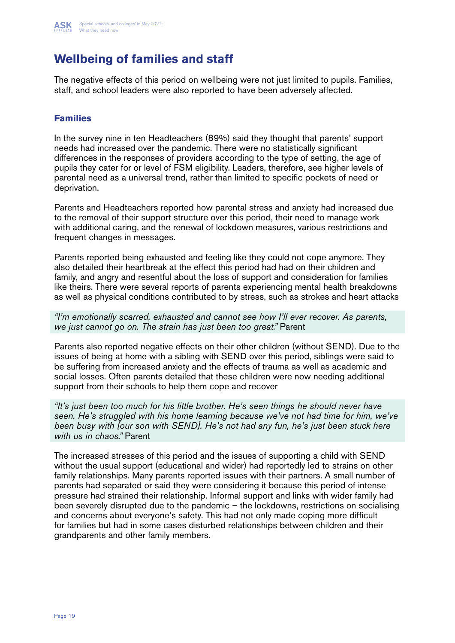

## **Wellbeing of families and staff**

The negative effects of this period on wellbeing were not just limited to pupils. Families, staff, and school leaders were also reported to have been adversely affected.

#### **Families**

In the survey nine in ten Headteachers (89%) said they thought that parents' support needs had increased over the pandemic. There were no statistically significant differences in the responses of providers according to the type of setting, the age of pupils they cater for or level of FSM eligibility. Leaders, therefore, see higher levels of parental need as a universal trend, rather than limited to specific pockets of need or deprivation.

Parents and Headteachers reported how parental stress and anxiety had increased due to the removal of their support structure over this period, their need to manage work with additional caring, and the renewal of lockdown measures, various restrictions and frequent changes in messages.

Parents reported being exhausted and feeling like they could not cope anymore. They also detailed their heartbreak at the effect this period had had on their children and family, and angry and resentful about the loss of support and consideration for families like theirs. There were several reports of parents experiencing mental health breakdowns as well as physical conditions contributed to by stress, such as strokes and heart attacks

*"I'm emotionally scarred, exhausted and cannot see how I'll ever recover. As parents, we just cannot go on. The strain has just been too great."* Parent

Parents also reported negative effects on their other children (without SEND). Due to the issues of being at home with a sibling with SEND over this period, siblings were said to be suffering from increased anxiety and the effects of trauma as well as academic and social losses. Often parents detailed that these children were now needing additional support from their schools to help them cope and recover

*"It's just been too much for his little brother. He's seen things he should never have seen. He's struggled with his home learning because we've not had time for him, we've been busy with [our son with SEND]. He's not had any fun, he's just been stuck here with us in chaos."* Parent

The increased stresses of this period and the issues of supporting a child with SEND without the usual support (educational and wider) had reportedly led to strains on other family relationships. Many parents reported issues with their partners. A small number of parents had separated or said they were considering it because this period of intense pressure had strained their relationship. Informal support and links with wider family had been severely disrupted due to the pandemic – the lockdowns, restrictions on socialising and concerns about everyone's safety. This had not only made coping more difficult for families but had in some cases disturbed relationships between children and their grandparents and other family members.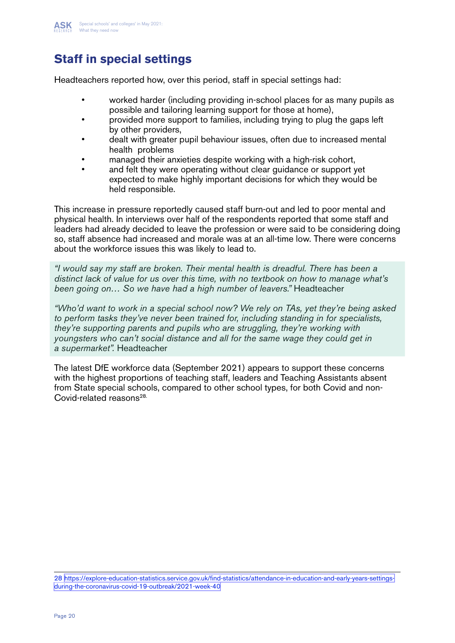

## **Staff in special settings**

Headteachers reported how, over this period, staff in special settings had:

- worked harder (including providing in-school places for as many pupils as possible and tailoring learning support for those at home),
- provided more support to families, including trying to plug the gaps left by other providers,
- dealt with greater pupil behaviour issues, often due to increased mental health problems
- managed their anxieties despite working with a high-risk cohort,
- and felt they were operating without clear guidance or support yet expected to make highly important decisions for which they would be held responsible.

This increase in pressure reportedly caused staff burn-out and led to poor mental and physical health. In interviews over half of the respondents reported that some staff and leaders had already decided to leave the profession or were said to be considering doing so, staff absence had increased and morale was at an all-time low. There were concerns about the workforce issues this was likely to lead to.

*"I would say my staff are broken. Their mental health is dreadful. There has been a distinct lack of value for us over this time, with no textbook on how to manage what's been going on… So we have had a high number of leavers."* Headteacher

*"Who'd want to work in a special school now? We rely on TAs, yet they're being asked to perform tasks they've never been trained for, including standing in for specialists, they're supporting parents and pupils who are struggling, they're working with youngsters who can't social distance and all for the same wage they could get in a supermarket".* Headteacher

The latest DfE workforce data (September 2021) appears to support these concerns with the highest proportions of teaching staff, leaders and Teaching Assistants absent from State special schools, compared to other school types, for both Covid and non-Covid-related reasons<sup>28.</sup>

28 [https://explore-education-statistics.service.gov.uk/find-statistics/attendance-in-education-and-early-years-settings](https://explore-education-statistics.service.gov.uk/find-statistics/attendance-in-education-and-earl)[during-the-coronavirus-covid-19-outbreak/2021-week-40](https://explore-education-statistics.service.gov.uk/find-statistics/attendance-in-education-and-earl)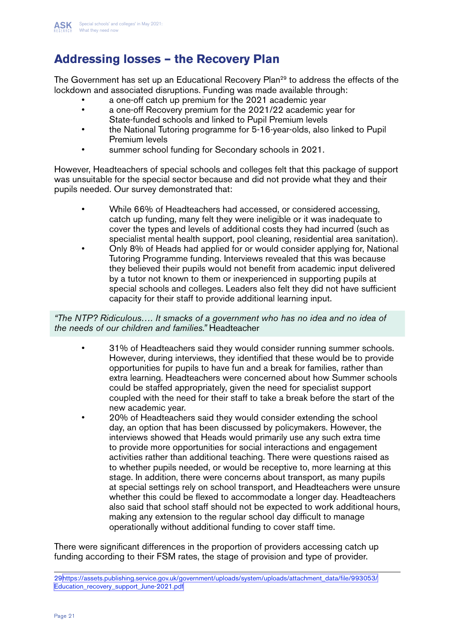

## **Addressing losses – the Recovery Plan**

The Government has set up an Educational Recovery Plan<sup>29</sup> to address the effects of the lockdown and associated disruptions. Funding was made available through:

- a one-off catch up premium for the 2021 academic year
- a one-off Recovery premium for the 2021/22 academic year for State-funded schools and linked to Pupil Premium levels
- the National Tutoring programme for 5-16-year-olds, also linked to Pupil Premium levels
- summer school funding for Secondary schools in 2021.

However, Headteachers of special schools and colleges felt that this package of support was unsuitable for the special sector because and did not provide what they and their pupils needed. Our survey demonstrated that:

- While 66% of Headteachers had accessed, or considered accessing, catch up funding, many felt they were ineligible or it was inadequate to cover the types and levels of additional costs they had incurred (such as specialist mental health support, pool cleaning, residential area sanitation).
- Only 8% of Heads had applied for or would consider applying for, National Tutoring Programme funding. Interviews revealed that this was because they believed their pupils would not benefit from academic input delivered by a tutor not known to them or inexperienced in supporting pupils at special schools and colleges. Leaders also felt they did not have sufficient capacity for their staff to provide additional learning input.

*"The NTP? Ridiculous…. It smacks of a government who has no idea and no idea of the needs of our children and families."* Headteacher

- 31% of Headteachers said they would consider running summer schools. However, during interviews, they identified that these would be to provide opportunities for pupils to have fun and a break for families, rather than extra learning. Headteachers were concerned about how Summer schools could be staffed appropriately, given the need for specialist support coupled with the need for their staff to take a break before the start of the new academic year.
- 20% of Headteachers said they would consider extending the school day, an option that has been discussed by policymakers. However, the interviews showed that Heads would primarily use any such extra time to provide more opportunities for social interactions and engagement activities rather than additional teaching. There were questions raised as to whether pupils needed, or would be receptive to, more learning at this stage. In addition, there were concerns about transport, as many pupils at special settings rely on school transport, and Headteachers were unsure whether this could be flexed to accommodate a longer day. Headteachers also said that school staff should not be expected to work additional hours, making any extension to the regular school day difficult to manage operationally without additional funding to cover staff time.

There were significant differences in the proportion of providers accessing catch up funding according to their FSM rates, the stage of provision and type of provider.

<sup>29</sup>[https://assets.publishing.service.gov.uk/government/uploads/system/uploads/attachment\\_data/file/993053/](https://assets.publishing.service.gov.uk/government/uploads/system/uploads/attachment_data/file/9930) [Education\\_recovery\\_support\\_June-2021.pdf](https://assets.publishing.service.gov.uk/government/uploads/system/uploads/attachment_data/file/9930)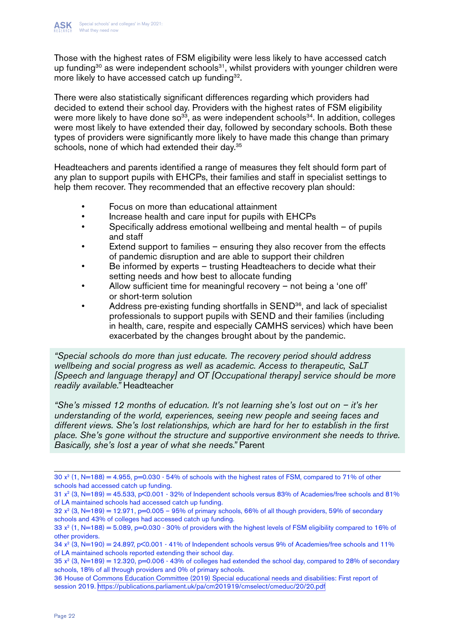

Those with the highest rates of FSM eligibility were less likely to have accessed catch up funding<sup>30</sup> as were independent schools<sup>31</sup>, whilst providers with younger children were more likely to have accessed catch up funding<sup>32</sup>.

There were also statistically significant differences regarding which providers had decided to extend their school day. Providers with the highest rates of FSM eligibility were more likely to have done  $so^{33}$ , as were independent schools<sup>34</sup>. In addition, colleges were most likely to have extended their day, followed by secondary schools. Both these types of providers were significantly more likely to have made this change than primary schools, none of which had extended their day.<sup>35</sup>

Headteachers and parents identified a range of measures they felt should form part of any plan to support pupils with EHCPs, their families and staff in specialist settings to help them recover. They recommended that an effective recovery plan should:

- Focus on more than educational attainment
- Increase health and care input for pupils with EHCPs
- Specifically address emotional wellbeing and mental health of pupils and staff
- Extend support to families  $-$  ensuring they also recover from the effects of pandemic disruption and are able to support their children
- Be informed by experts trusting Headteachers to decide what their setting needs and how best to allocate funding
- Allow sufficient time for meaningful recovery not being a 'one off' or short-term solution
- Address pre-existing funding shortfalls in SEND<sup>36</sup>, and lack of specialist professionals to support pupils with SEND and their families (including in health, care, respite and especially CAMHS services) which have been exacerbated by the changes brought about by the pandemic.

*"Special schools do more than just educate. The recovery period should address wellbeing and social progress as well as academic. Access to therapeutic, SaLT [Speech and language therapy] and OT [Occupational therapy] service should be more readily available."* Headteacher

*"She's missed 12 months of education. It's not learning she's lost out on – it's her understanding of the world, experiences, seeing new people and seeing faces and different views. She's lost relationships, which are hard for her to establish in the first place. She's gone without the structure and supportive environment she needs to thrive. Basically, she's lost a year of what she needs."* Parent

30  $x^2$  (1, N=188) = 4.955, p=0.030 - 54% of schools with the highest rates of FSM, compared to 71% of other schools had accessed catch up funding.

31  $x^2$  (3, N=189) = 45.533, p<0.001 - 32% of Independent schools versus 83% of Academies/free schools and 81% of LA maintained schools had accessed catch up funding.

<sup>32</sup>  $x^2$  (3, N=189) = 12.971, p=0.005 – 95% of primary schools, 66% of all though providers, 59% of secondary schools and 43% of colleges had accessed catch up funding.

<sup>33</sup>  $x^2$  (1, N=188) = 5.089, p=0.030 - 30% of providers with the highest levels of FSM eligibility compared to 16% of other providers.

<sup>34</sup>  $x^2$  (3, N=190) = 24.897, p<0.001 - 41% of Independent schools versus 9% of Academies/free schools and 11% of LA maintained schools reported extending their school day.

<sup>35</sup>  $x^2$  (3, N=189) = 12.320, p=0.006 - 43% of colleges had extended the school day, compared to 28% of secondary schools, 18% of all through providers and 0% of primary schools.

<sup>36</sup> House of Commons Education Committee (2019) Special educational needs and disabilities: First report of session 2019. <https://publications.parliament.uk/pa/cm201919/cmselect/cmeduc/20/20.pdf>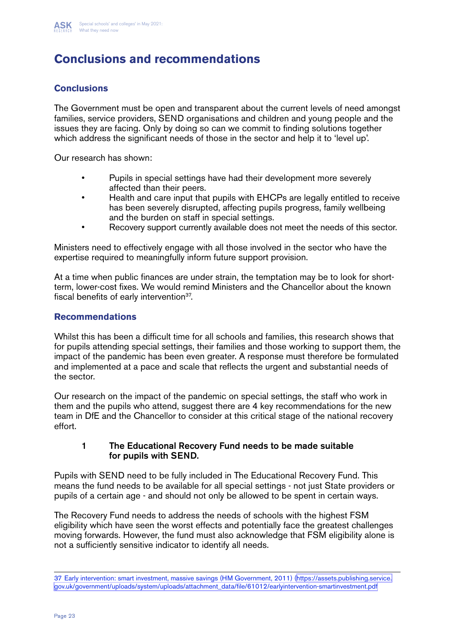

## **Conclusions and recommendations**

#### **Conclusions**

The Government must be open and transparent about the current levels of need amongst families, service providers, SEND organisations and children and young people and the issues they are facing. Only by doing so can we commit to finding solutions together which address the significant needs of those in the sector and help it to 'level up'.

Our research has shown:

- Pupils in special settings have had their development more severely affected than their peers.
- Health and care input that pupils with EHCPs are legally entitled to receive has been severely disrupted, affecting pupils progress, family wellbeing and the burden on staff in special settings.
- Recovery support currently available does not meet the needs of this sector.

Ministers need to effectively engage with all those involved in the sector who have the expertise required to meaningfully inform future support provision.

At a time when public finances are under strain, the temptation may be to look for shortterm, lower-cost fixes. We would remind Ministers and the Chancellor about the known fiscal benefits of early intervention<sup>37</sup>.

#### **Recommendations**

Whilst this has been a difficult time for all schools and families, this research shows that for pupils attending special settings, their families and those working to support them, the impact of the pandemic has been even greater. A response must therefore be formulated and implemented at a pace and scale that reflects the urgent and substantial needs of the sector.

Our research on the impact of the pandemic on special settings, the staff who work in them and the pupils who attend, suggest there are 4 key recommendations for the new team in DfE and the Chancellor to consider at this critical stage of the national recovery effort.

#### 1 The Educational Recovery Fund needs to be made suitable for pupils with SEND.

Pupils with SEND need to be fully included in The Educational Recovery Fund. This means the fund needs to be available for all special settings - not just State providers or pupils of a certain age - and should not only be allowed to be spent in certain ways.

The Recovery Fund needs to address the needs of schools with the highest FSM eligibility which have seen the worst effects and potentially face the greatest challenges moving forwards. However, the fund must also acknowledge that FSM eligibility alone is not a sufficiently sensitive indicator to identify all needs.

<sup>37</sup> Early intervention: smart investment, massive savings (HM Government, 2011) [\(https://assets.publishing.service.](https://assets.publishing.service.gov.uk/government/uploads/system/uploads/attachment_data/file/6101) [gov.uk/government/uploads/system/uploads/attachment\\_data/file/61012/earlyintervention-smartinvestment.pdf](https://assets.publishing.service.gov.uk/government/uploads/system/uploads/attachment_data/file/6101)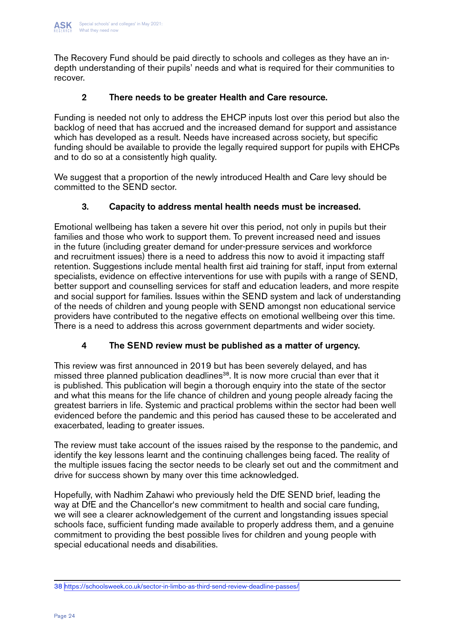The Recovery Fund should be paid directly to schools and colleges as they have an indepth understanding of their pupils' needs and what is required for their communities to recover.

#### 2 There needs to be greater Health and Care resource.

Funding is needed not only to address the EHCP inputs lost over this period but also the backlog of need that has accrued and the increased demand for support and assistance which has developed as a result. Needs have increased across society, but specific funding should be available to provide the legally required support for pupils with EHCPs and to do so at a consistently high quality.

We suggest that a proportion of the newly introduced Health and Care levy should be committed to the SEND sector.

#### 3. Capacity to address mental health needs must be increased.

Emotional wellbeing has taken a severe hit over this period, not only in pupils but their families and those who work to support them. To prevent increased need and issues in the future (including greater demand for under-pressure services and workforce and recruitment issues) there is a need to address this now to avoid it impacting staff retention. Suggestions include mental health first aid training for staff, input from external specialists, evidence on effective interventions for use with pupils with a range of SEND, better support and counselling services for staff and education leaders, and more respite and social support for families. Issues within the SEND system and lack of understanding of the needs of children and young people with SEND amongst non educational service providers have contributed to the negative effects on emotional wellbeing over this time. There is a need to address this across government departments and wider society.

#### 4 The SEND review must be published as a matter of urgency.

This review was first announced in 2019 but has been severely delayed, and has missed three planned publication deadlines<sup>38</sup>. It is now more crucial than ever that it is published. This publication will begin a thorough enquiry into the state of the sector and what this means for the life chance of children and young people already facing the greatest barriers in life. Systemic and practical problems within the sector had been well evidenced before the pandemic and this period has caused these to be accelerated and exacerbated, leading to greater issues.

The review must take account of the issues raised by the response to the pandemic, and identify the key lessons learnt and the continuing challenges being faced. The reality of the multiple issues facing the sector needs to be clearly set out and the commitment and drive for success shown by many over this time acknowledged.

Hopefully, with Nadhim Zahawi who previously held the DfE SEND brief, leading the way at DfE and the Chancellor's new commitment to health and social care funding, we will see a clearer acknowledgement of the current and longstanding issues special schools face, sufficient funding made available to properly address them, and a genuine commitment to providing the best possible lives for children and young people with special educational needs and disabilities.

<sup>38</sup><https://schoolsweek.co.uk/sector-in-limbo-as-third-send-review-deadline-passes/>